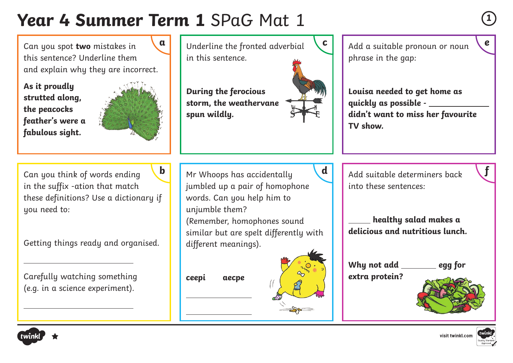# **Year 4 Summer Term 1** SPaG Mat 1 **<sup>1</sup>**

Can you spot **two** mistakes in this sentence? Underline them and explain why they are incorrect.

**As it proudly strutted along, the peacocks feather's were a fabulous sight.**



**f** Can you think of words ending in the suffix -ation that match these definitions? Use a dictionary if uou need to: **b**

Getting things ready and organised.

Carefully watching something (e.g. in a science experiment).

**a** Underline the fronted adverbial in this sentence. **During the ferocious storm, the weathervane spun wildly.** Mr Whoops has accidentally jumbled up a pair of homophone words. Can you help him to unjumble them? (Remember, homophones sound similar but are spelt differently with different meanings).

**ceepi aecpe**

 $\overline{a}$ 

 $\overline{a}$ 



**c** | Add a suitable pronoun or noun phrase in the gap:

> **Louisa needed to get home as quickly as possible didn't want to miss her favourite TV show.**

 $\mathbf{d}$   $\Box$  Add suitable determiners back into these sentences:

> **healthy salad makes a delicious and nutritious lunch.**

Why not add egg for **extra protein?**





**e**



 $\overline{a}$ 

 $\overline{a}$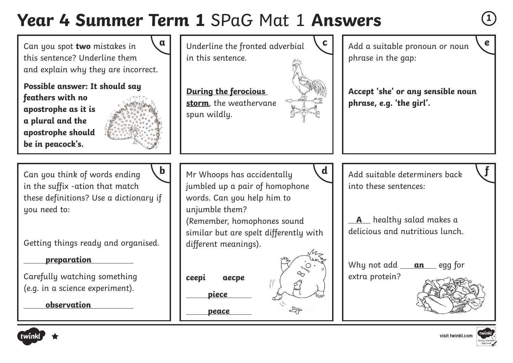## **Year 4 Summer Term 1** SPaG Mat 1 **Answers <sup>1</sup>**

Can you spot **two** mistakes in this sentence? Underline them and explain why they are incorrect.

**Possible answer: It should say feathers with no apostrophe as it is a plural and the apostrophe should be in peacock's.**

**f** Can you think of words ending in the suffix -ation that match

Getting things ready and organised.

**preparation**

**observation**

Carefully watching something (e.g. in a science experiment).



**a** Underline the fronted adverbial in this sentence.

**During the ferocious storm**, the weathervane spun wildly.



**c** Add a suitable pronoun or noun phrase in the gap:

**Accept 'she' or any sensible noun phrase, e.g. 'the girl'.**

Mr Whoops has accidentally jumbled up a pair of homophone words. Can you help him to these definitions? Use a dictionary if **b**

unjumble them?

(Remember, homophones sound similar but are spelt differently with different meanings).

**ceepi aecpe**

**piece**

**peace**



 $\mathbf{d}$   $\vert$   $\vert$  Add suitable determiners back into these sentences:

> **A** healthy salad makes a delicious and nutritious lunch.

> Why not add <u>an</u> egg for extra protein?





uou need to:



**e**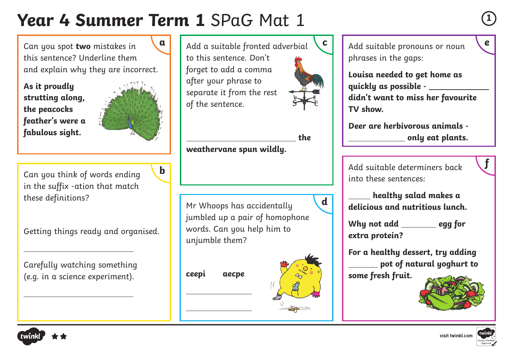# **Year 4 Summer Term 1** SPaG Mat 1 **<sup>1</sup>**

**b**

Can you spot **two** mistakes in this sentence? Underline them and explain why they are incorrect.

**As it proudly strutting along, the peacocks feather's were a fabulous sight.**



Can you think of words ending in the suffix -ation that match these definitions?

Getting things ready and organised.

Carefully watching something (e.g. in a science experiment).

**a** Add a suitable fronted adverbial to this sentence. Don't forget to add a comma after your phrase to separate it from the rest of the sentence.

\_\_\_\_\_\_\_\_\_\_\_\_\_\_\_\_\_\_\_\_\_\_\_\_\_\_\_\_\_\_\_the

**d**

**weathervane spun wildly.**

Mr Whoops has accidentally jumbled up a pair of homophone words. Can you help him to unjumble them?

**ceepi aecpe**

 $\overline{a}$ 

 $\overline{a}$ 



**c** | Add suitable pronouns or noun phrases in the gaps:

> **Louisa needed to get home as quickly as possible didn't want to miss her favourite TV show.**

**Deer are herbivorous animals only eat plants.**

Add suitable determiners back into these sentences:

 **healthy salad makes a delicious and nutritious lunch.**

Why not add \_\_\_\_\_\_\_\_ egg for **extra protein?**

**For a healthy dessert, try adding pot of natural yoghurt to some fresh fruit.**



 $\overline{a}$ 

 $\overline{a}$ 



**e**

**f**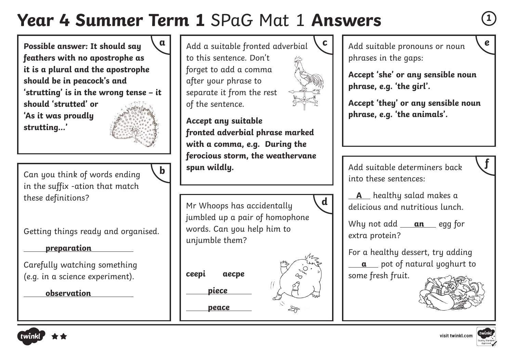## **Year 4 Summer Term 1** SPaG Mat 1 **Answers <sup>1</sup>**

**b**

**Possible answer: It should say feathers with no apostrophe as it is a plural and the apostrophe should be in peacock's and 'strutting' is in the wrong tense – it should 'strutted' or 'As it was proudly strutting…'**

Can you think of words ending in the suffix -ation that match these definitions?

Getting things ready and organised.

**preparation**

Carefully watching something (e.g. in a science experiment).

**observation**



**Accept any suitable fronted adverbial phrase marked with a comma, e.g. During the ferocious storm, the weathervane spun wildly.** 

Mr Whoops has accidentally jumbled up a pair of homophone words. Can you help him to unjumble them?

**ceepi aecpe**

**piece**

**peace**



**c** Add suitable pronouns or noun phrases in the gaps:

**Accept 'she' or any sensible noun phrase, e.g. 'the girl'.**

**Accept 'they' or any sensible noun phrase, e.g. 'the animals'.**

Add suitable determiners back into these sentences:

 **A** healthy salad makes a delicious and nutritious lunch.

Why not add \_\_\_**an** egg for extra protein?

For a healthy dessert, try adding **a** pot of natural yoghurt to some fresh fruit.





**e**

**f**

**d**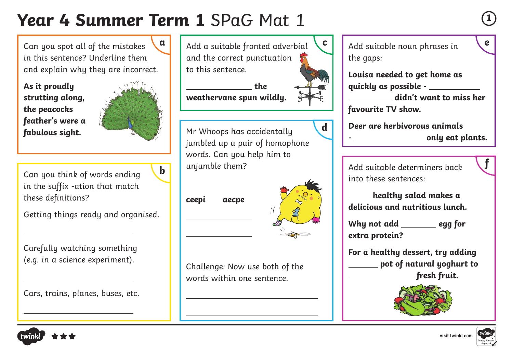# **Year 4 Summer Term 1** SPaG Mat 1 **<sup>1</sup>**

**b**

Can you spot all of the mistakes in this sentence? Underline them and explain why they are incorrect.

**As it proudly strutting along, the peacocks feather's were a fabulous sight.**

 $\overline{a}$ 

 $\overline{a}$ 

 $\overline{a}$ 



Can you think of words ending in the suffix -ation that match these definitions?

Getting things ready and organised.

Carefully watching something (e.g. in a science experiment).

Cars, trains, planes, buses, etc.



 **the** 

**weathervane spun wildly.**



**ceepi aecpe**

 $\overline{a}$ 

 $\overline{a}$ 

 $\overline{a}$ 

 $\overline{a}$ 



Challenge: Now use both of the words within one sentence.



**c** | Add suitable noun phrases in the gaps:

> **Louisa needed to get home as quickly as possible -**

 **didn't want to miss her favourite TV show.**

**Deer are herbivorous animals** 

**- only eat plants.**

Add suitable determiners back into these sentences:

 **healthy salad makes a delicious and nutritious lunch.**

Why not add egg for **extra protein?**

**For a healthy dessert, try adding pot of natural yoghurt to fresh fruit.**





**e**

**f**

visit twinkl.com